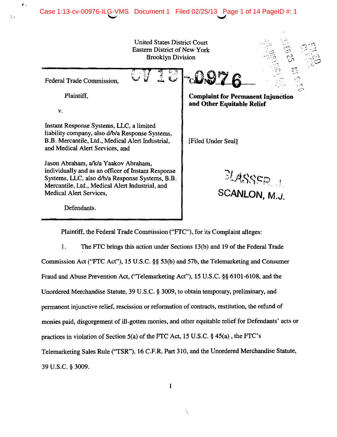# Case 1:13-cv-00976-ILG-VMS Document 1 Filed 02/25/13 Page 1 of 14 PageID #: 1

• •

,.

United States District Court Eastern District of New York Brooklyn Division Federal Trade Commission, Plaintiff, v. Instant Response Systems, LLC, a limited liability company, also d/b/a Response Systems, B.B. Mercantile, Ltd., Medical Alert Industrial, and Medical Alert Services, and Jason Abraham, a/k/a Yaakov Abraham, individually and as an officer of Instant Response Systems, llC, also d/b/a Response Systems, B.B. Mercantile, Ltd., Medical Alert Industrial, and Medical Alert Services, Defendants. **Complaint for Permanent Injunction and Other Equitable Relief**  [Filed Under Seal]  $2L$ ASSER **SCANLON, M.J.** 

Plaintiff, the Federal Trade Commission ("FTC"), for its Complaint alleges:

1. The FTC brings this action under Sections 13(b) and 19 of the Federal Trade Commission Act ("FTC Act"), 15 U.S.C. §§ 53(b) and 57b, the Telemarketing and Consumer Fraud and Abuse Prevention Act, (''Telemarketing Act"), 15 U.S.C. §§ 6101-6108, and the Unordered Merchandise Statute, 39 U.S.C. § 3009, to obtain temporary, preliminary, and permanent injunctive relief, rescission or reformation of contracts, restitution, the refund of monies paid, disgorgement of ill-gotten monies, and other equitable relief for Defendants' acts or practices in violation of Section 5(a) of the FTC Act, 15 U.S.C. § 45(a) , the FTC's Telemarketing Sales Rule (''TSR''), 16 C.F.R. Part 310, and the Unordered Merchandise Statute, 39 U.S.C. § 3009.

1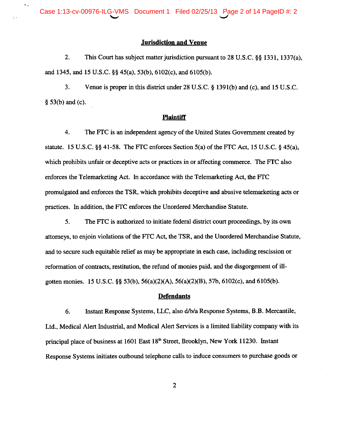Case 1:13-cv-00976-ILG-VMS Document 1 Filed 02/25/13 Page 2 of 14 PageID #: 2

 $\mathcal{L}_\mathrm{A}$ 

## **Jurisdiction and Venue**

2. This Court has subject matter jurisdiction pursuant to 28 U.S.C. §§ 1331, 1337(a), and 1345, and 15 U.S.C. §§ 45(a), 53 (b), 6102(c), and 6105(b).

3. Venue is proper in this district under 28 U.S.C. § 1391(b) and (c), and 15 U.S.c. § 53(b) and (c).

#### **Plaintiff**

4. The FTC is an independent agency of the United States Government created by statute. 15 U.S.C. §§ 41-58. The FTC enforces Section  $5(a)$  of the FTC Act, 15 U.S.C. § 45(a), which prohibits unfair or deceptive acts or practices in or affecting commerce. The FTC also enforces the Telemarketing Act. In accordance with the Telemarketing Act, the FTC promulgated and enforces the TSR, which prohibits deceptive and abusive telemarketing acts or practices. In addition, the FTC enforces the Unordered Merchandise Statute.

5. The FTC is authorized to initiate federal district court proceedings, by its own attorneys, to enjoin violations of the FTC Act, the TSR, and the Unordered Merchandise Statute, and to secure such equitable relief as may be appropriate in each case, including rescission or reformation of contracts, restitution, the refund of monies paid, and the disgorgement of illgotten monies. 15 U.S.C. §§ 53(b), 56(a)(2)(A), 56(a)(2)(B), 57b, 6102(c), and 6105(b).

#### **Defendants**

6. Instant Response Systems, LLC, also d/b/a Response Systems, B.B. Mercantile, Ltd., Medical Alert Industrial, and Medical Alert Services is a limited liability company with its principal place of business at 1601 East 18<sup>th</sup> Street, Brooklyn, New York 11230. Instant Response Systems initiates outbound telephone calls to induce consumers to purchase goods or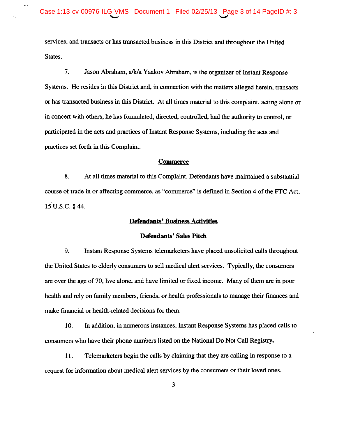services, and transacts or has transacted business in this District and throughout the United States.

7. Jason Abraham, a/k/a Yaakov Abraham, is the organizer of Instant Response Systems. He resides in this District and, in connection with the matters alleged herein, transacts or has transacted business in this District. At all times material to this complaint, acting alone or in concert with others, he has formulated, directed, controlled, had the authority to control, or participated in the acts and practices of Instant Response Systems, including the acts and practices set forth in this Complaint.

#### **Commerce**

8. At all times material to this Complaint, Defendants have maintained a substantial course of trade in or affecting commerce, as "commerce" is defmed in Section 4 of the FTC Act, 15 U.S.C. § 44.

## Defendants' Business Activities

## Defendants' Sales Pitch

9. Instant Response Systems telemarketers have placed unsolicited calls throughout the United States to elderly consumers to sell medical alert services. Typically, the consumers are over the age of 70, live alone, and have limited or fixed income. Many of them are in poor health and rely on family members, friends, or health professionals to manage their finances and make fmancial or health-related decisions for them.

10. In addition, in numerous instances, Instant Response Systems has placed calls to consumers who have their phone numbers listed on the National Do Not Call Registry.

11. Telemarketers begin the calls by claiming that they are calling in response to a request for information about medical alert services by the consumers or their loved ones.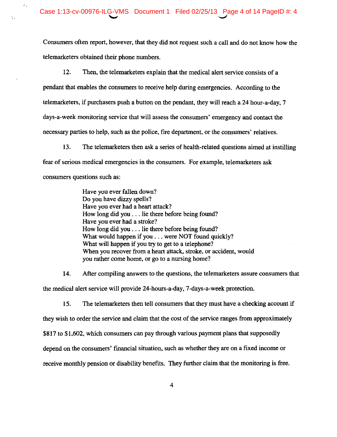$\mathcal{L}_{\mathcal{A}}$ 

Consumers often report, however, that they did not request such a call and do not know how the telemarketers obtained their phone numbers.

12. Then, the telemarketers explain that the medical alert service consists of a pendant that enables the consumers to receive help during emergencies. According to the telemarketers, if purchasers push a button on the pendant, they will reach a 24 hour-a-day, 7 days-a-week monitoring service that will assess the consumers' emergency and contact the necessary parties to help, such as the police, fire department, or the consumers' relatives.

13. The telemarketers then ask a series of health-related questions aimed at instilling fear of serious medical emergencies in the consumers. For example, telemarketers ask consumers questions such as:

> Have you ever fallen down? Do you have dizzy spells? Have you ever had a heart attack? How long did you ... lie there before being found? Have you ever had a stroke? How long did you ... lie there before being found? What would happen if you . . . were NOT found quickly? What will happen if you try to get to a telephone? When you recover from a heart attack, stroke, or accident, would you rather come home, or go to a nursing home?

14. After compiling answers to the questions, the telemarketers assure consumers that the medical alert service will provide 24-hours-a-day, 7-days-a-week protection.

15. The telemarketers then tell consumers that they must have a checking account if they wish to order the service and claim that the cost of the service ranges from approximately \$817 to \$1,602, which consumers can pay through various payment plans that supposedly depend on the consumers' fmancial situation, such as whether they are on a fixed income or receive monthly pension or disability benefits. They further claim that the monitoring is free.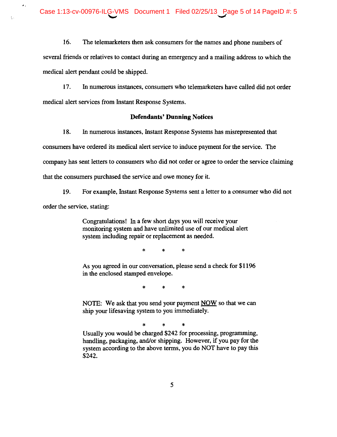· .

 $\ddot{\cdot}$ 

16. The telemarketers then ask consumers for the names and phone numbers of several friends or relatives to contact during an emergency and a mailing address to which the medical alert pendant could be shipped.

17. In numerous instances, consumers who telemarketers have called did not order medical alert services from Instant Response Systems.

## **Defendants' Dunning** Notices

18. In numerous instances, Instant Response Systems has misrepresented that consumers have ordered its medical alert service to induce payment for the service. The company has sent letters to consumers who did not order or agree to order the service claiming that the consumers purchased the service and owe money for it.

19. For example, Instant Response Systems sent a letter to a consumer who did not order the service, stating:

> Congratulations! In a few short days you will receive your monitoring system and have unlimited use of our medical alert system including repair or replacement as needed.

> > \* \* \*

As you agreed in our conversation, please send a check for \$1196 in the enclosed stamped envelope.

\* \* \*

NOTE: We ask that you send your payment NOW so that we can ship your lifesaving system to you immediately.

\* \* \*

Usually you would be charged \$242 for processing, programming, handling, packaging, and/or shipping. However, if you pay for the system according to the above terms, you do NOT have to pay this \$242.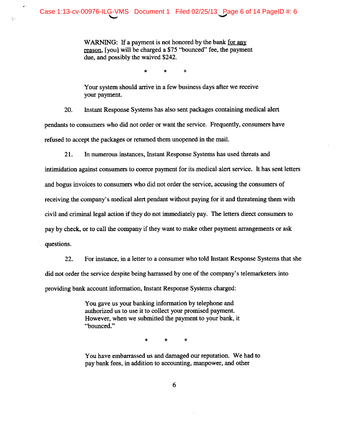$\mathbf{r}$ 

WARNING: If a payment is not honored by the bank for any reason, [you] will be charged a \$75 "bounced" fee, the payment due, and possibly the waived \$242.

\* \* \*

Your system should arrive in a few business days after we receive your payment.

20. Instant Response Systems has also sent packages containing medical alert pendants to consumers who did not order or want the service. Frequently, consumers have refused to accept the packages or returned them unopened in the mail.

21. In numerous instances, Instant Response Systems has used threats and

intimidation against consumers to coerce payment for its medical alert service. It has sent letters and bogus invoices to consumers who did not order the service, accusing the consumers of receiving the company's medical alert pendant without paying for it and threatening them with civil and criminal legal action if they do not immediately pay. The letters direct consumers to pay by check, or to call the company if they want to make other payment arrangements or ask questions.

22. For instance, in a letter to a consumer who told Instant Response Systems that she did not order the service despite being harrassed by one of the company's telemarketers into providing bank account information, Instant Response Systems charged:

> You gave us your banking information by telephone and authorized us to use it to collect your promised payment. However, when we submitted the payment to your bank, it "bounced."

> > \* \* \*

You have embarrassed us and damaged our reputation. We had to pay bank fees, in addition to accounting, manpower, and other

6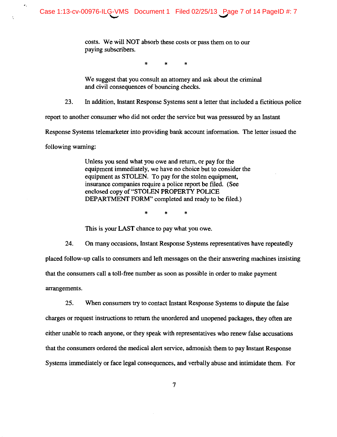costs. We will NOT absorb these costs or pass them on to our paying subscribers.

\* \* \*

We suggest that you consult an attorney and ask about the criminal and civil consequences of bouncing checks.

23. In addition, Instant Response Systems sent a letter that included a fictitious police

report to another consumer who did not order the service but was pressured by an Instant

Response Systems telemarketer into providing bank account information. The letter issued the

following warning:

 $\hat{\mathbf{z}}_i$ 

Unless you send what you owe and return, or pay for the equipment immediately, we have no choice but to consider the equipment as STOLEN. To pay for the stolen equipment, insurance companies require a police report be filed. (See enclosed copy of "STOLEN PROPERTY POLICE DEPARTMENT FORM" completed and ready to be filed.)

\* \* \*

This is your LAST chance to pay what you owe.

24. On many occasions, Instant Response Systems representatives have repeatedly placed follow-up calls to consumers and left messages on the their answering machines insisting that the consumers call a toll-free number as soon as possible in order to make payment arrangements.

25. When consumers try to contact Instant Response Systems to dispute the false charges or request instructions to return the unordered and unopened packages, they often are either unable to reach anyone, or they speak with representatives who renew false accusations that the consumers ordered the medical alert service, admonish them to pay Instant Response Systems immediately or face legal consequences, and verbally abuse and intimidate them. For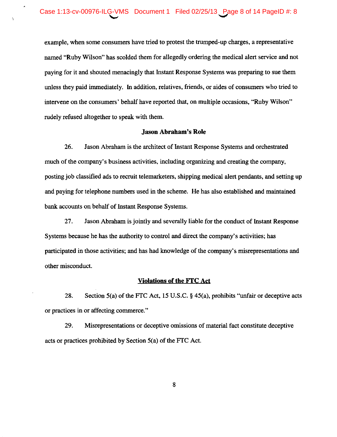$\bullet$ 

÷,

example, when some consumers have tried to protest the trumped-up charges, a representative named "Ruby Wilson" has scolded them for allegedly ordering the medical alert service and not paying for it and shouted menacingly that Instant Response Systems was preparing to sue them unless they paid immediately. In addition, relatives, friends, or aides of consumers who tried to intervene on the consumers' behalf have reported that, on multiple occasions, "Ruby Wilson" rudely refused altogether to speak with them.

## **Jason Abraham's Role**

26. Jason Abraham is the architect of Instant Response Systems and orchestrated much of the company's business activities, including organizing and creating the company, posting job classified ads to recruit telemarketers, shipping medical alert pendants, and setting up and paying for telephone numbers used in the scheme. He has also established and maintained bank accounts on behalf of Instant Response Systems.

27. Jason Abraham is jointly and severally liable for the conduct of Instant Response Systems because he has the authority to control and direct the company's activities; has participated in those activities; and has had knowledge of the company's misrepresentations and other misconduct.

## **Violations of the FTC Act**

28. Section 5(a) of the FTC Act, 15 U.S.C. § 45(a), prohibits "unfair or deceptive acts or practices in or affecting commerce."

29. Misrepresentations or deceptive omissions of material fact constitute deceptive acts or practices prohibited by Section 5(a) of the FTC Act.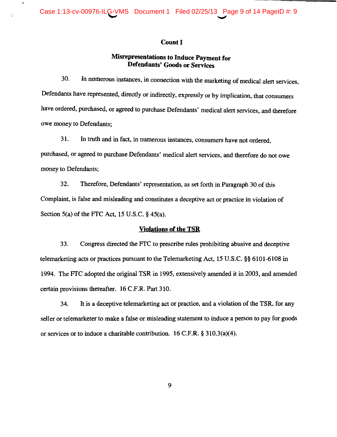$\bullet$ 

 $\epsilon_{\rm jet}$ 

## Count I

## **Misrepresentations to Induce Payment for Defendants' Goods or Services**

30. In numerous instances, in connection with the marketing of medical alert services, Defendants have represented, directly or indirectly, expressly or by implication, that consumers have ordered, purchased, or agreed to purchase Defendants' medical alert services, and therefore owe money to Defendants;

31. In truth and in fact, in numerous instances, consumers have not ordered, purchased, or agreed to purchase Defendants' medical alert services, and therefore do not owe money to Defendants;

32. Therefore, Defendants' representation, as set forth in Paragraph 30 of this Complaint, is false and misleading and constitutes a deceptive act or practice in violation of Section 5(a) of the FTC Act, 15 U.S.C.  $\S$  45(a).

#### **Violations of the TSR**

33. Congress directed the FTC to prescribe rules prohibiting abusive and deceptive telemarketing acts or practices pursuant to the Telemarketing Act, 15 U.S.C. §§ 6101-6108 in 1994. The FTC adopted the original **TSR** in 1995, extensively amended it in 2003, and amended certain provisions thereafter. 16 C.F.R. Part 310.

34. It is a deceptive telemarketing act or practice, and a violation of the TSR, for any seller or telemarketer to make a false or misleading statement to induce a person to pay for goods or services or to induce a charitable contribution. 16 C.P.R. § 31O.3(a)(4).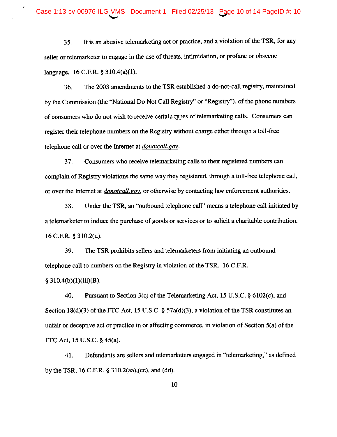$\cdot$ 

35. It is an abusive telemarketing act or practice, and a violation of the TSR, for any seller or telemarketer to engage in the use of threats, intimidation, or profane or obscene language. 16 C.F.R. § 31O.4(a)(I).

36. The 2003 amendments to the TSR established a do-not-call registry, maintained by the Commission (the "National Do Not Call Registry" or "Registry"), of the phone numbers of consumers who do not wish to receive certain types of telemarketing calls. Consumers can register their telephone numbers on the Registry without charge either through a toll-free telephone call or over the Internet at *donoteaU.gov.* 

37. Consumers who receive telemarketing calls to their registered numbers can complain of Registry violations the same way they registered, through a toll-free telephone call, or over the Internet at *donoteaU. gOY,* or otherwise by contacting law enforcement authorities.

38. Under the TSR, an "outbound telephone call" means a telephone call initiated by a telemarketer to induce the purchase of goods or services or to solicit a charitable contribution. 16 C.F.R. § 31O.2(u).

39. The TSR prohibits sellers and telemarketers from initiating an outbound telephone call to numbers on the Registry in violation of the TSR. 16 C.F.R.  $§ 310.4(b)(1)(iii)(B).$ 

40. Pursuant to Section 3(c) of the Telemarketing Act, 15 U.S.C. § 6102(c), and Section 18(d)(3) of the FTC Act, 15 U.S.C. §  $57a(d)(3)$ , a violation of the TSR constitutes an unfair or deceptive act or practice in or affecting commerce, in violation of Section 5(a) of the FfC Act, 15 U.S.c. § 45(a).

41. Defendants are sellers and telemarketers engaged in "telemarketing," as defmed by the TSR, 16 C.F.R. § 31O.2(aa),(cc), and (dd).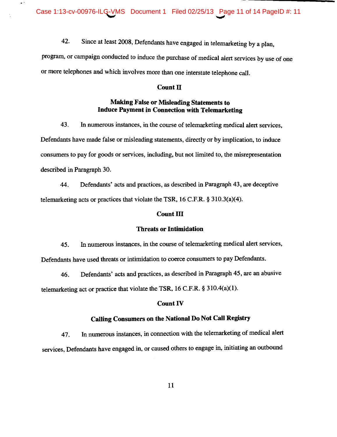Case 1:13-cv-00976-ILG-VMS Document 1 Filed 02/25/13 Page 11 of 14 PageID #: 11

· -

42. Since at least 2008, Defendants have engaged in telemarketing by a plan,

program, or campaign conducted to induce the purchase of medical alert services by use of one or more telephones and which involves more than one interstate telephone call.

#### Count II

## Making False or Misleading Statements to Induce Payment in Connection with Telemarketing

43. In numerous instances, in the course of telemarketing medical alert services, Defendants have made false or misleading statements, directly or by implication, to induce consumers to pay for goods or services, including, but not limited to, the misrepresentation described in Paragraph 30.

44. Defendants' acts and practices, as described in Paragraph 43, are deceptive telemarketing acts or practices that violate the TSR, 16 C.P.R. § 31O.3(a)(4).

#### Count III

#### Threats or Intimidation

45. In numerous instances, in the course of telemarketing medical alert services, Defendants have used threats or intimidation to coerce consumers to pay Defendants.

46. Defendants' acts and practices, as described in Paragraph 45, are an abusive telemarketing act or practice that violate the TSR, 16 C.P.R. § 31O.4(a)(1).

## Count IV

## Calling Consumers on the National Do Not Call Registry

47. In numerous instances, in connection with the telemarketing of medical alert services, Defendants have engaged in, or caused others to engage in, initiating an outbound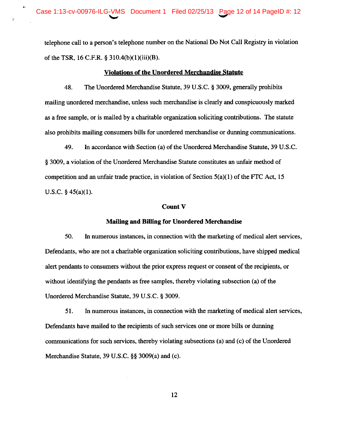$\bullet$ 

telephone call to a person's telephone number on the National Do Not Call Registry in violation of the TSR, 16 C.F.R. § 310.4(b)(1)(iii)(8).

#### **Violations of the Unordered Merchandise Statute**

48. The Unordered Merchandise Statute, 39 U.S.C. § 3009, generally prohibits mailing unordered merchandise, unless such merchandise is clearly and conspicuously marked as a free sample, or is mailed by a charitable organization soliciting contributions. The statute also prohibits mailing consumers bills for unordered merchandise or dunning communications.

49. In accordance with Section (a) of the Unordered Merchandise Statute, 39 U.S.C. § 3009, a violation of the Unordered Merchandise Statute constitutes an unfair method of competition and an unfair trade practice, in violation of Section 5(a)(I) of the FTC Act, 15 U.S.C. § 45(a)(1).

#### Count V

#### **Mailing and Billing for Unordered Merchandise**

50. In numerous instances, in connection with the marketing of medical alert services, Defendants, who are not a charitable organization soliciting contributions, have shipped medical alert pendants to consumers without the prior express request or consent of the recipients, or without identifying the pendants as free samples, thereby violating subsection (a) of the Unordered Merchandise Statute, 39 U.S.C. § 3009.

51. In numerous instances, in connection with the marketing of medical alert services, Defendants have mailed to the recipients of such services one or more bills or dunning communications for such services, thereby violating subsections (a) and (c) of the Unordered Merchandise Statute, 39 U.S.C. §§ 3009(a) and (c).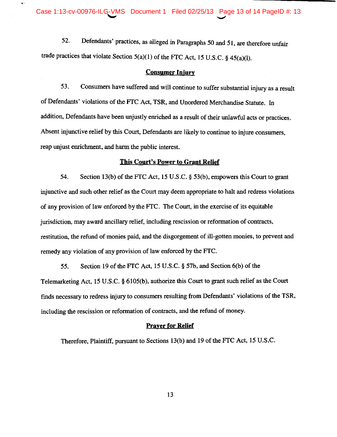$\ddot{\phantom{0}}$ 

52. Defendants' practices, as alleged in Paragraphs 50 and 51, are therefore unfair trade practices that violate Section  $5(a)(1)$  of the FTC Act, 15 U.S.C. § 45(a)(1).

#### **Consumer Injurv**

53. Consumers have suffered and will continue to suffer substantial injury as a result of Defendants' violations of the FTC Act, TSR, and Unordered Merchandise Statute. In addition, Defendants have been unjustly enriched as a result of their unlawful acts or practices. Absent injunctive relief by this Court, Defendants are likely to continue to injure consumers, reap unjust enrichment, and harm the public interest.

#### **This Court's Power to Grant Relief**

54. Section 13(b) of the FTC Act, 15 U.S.C. § 53(b), empowers this Court to grant injunctive and such other relief as the Court may deem appropriate to halt and redress violations of any provision of law enforced by the FTC. The Court, in the exercise of its equitable jurisdiction, may award ancillary relief, including rescission or reformation of contracts, restitution, the refund of monies paid, and the disgorgement of ill-gotten monies, to prevent and remedy any violation of any provision of law enforced by the FTC.

55. Section 19 of the FTC Act, 15 U.S.C. § 57b, and Section 6(b) of the Telemarketing Act, 15 U.S.C. § 6105(b), authorize this Court to grant such relief as the Court finds necessary to redress injury to consumers resulting from Defendants' violations of the TSR, including the rescission or reformation of contracts, and the refund of money.

## **Prayer for Relief**

Therefore, Plaintiff, pursuant to Sections 13(b) and 19 of the FTC Act, 15 U.S.C.